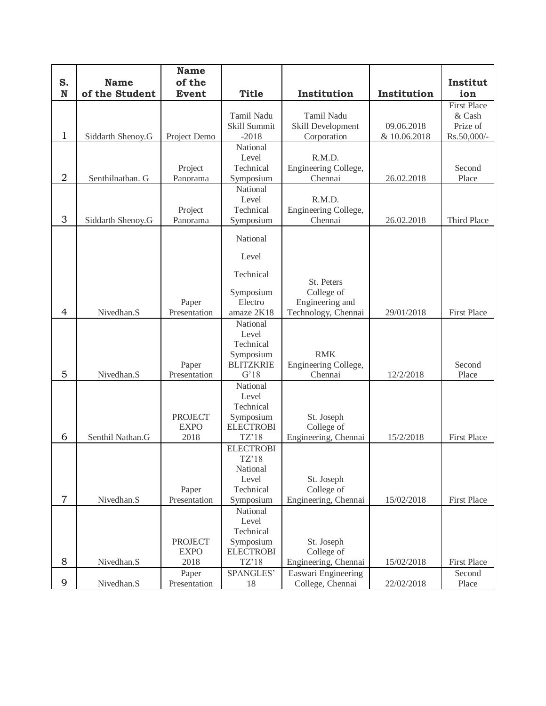|                |                               | <b>Name</b>            |                        |                                    |              |                    |
|----------------|-------------------------------|------------------------|------------------------|------------------------------------|--------------|--------------------|
| S.<br>N        | <b>Name</b><br>of the Student | of the<br><b>Event</b> | <b>Title</b>           | Institution                        | Institution  | Institut<br>ion    |
|                |                               |                        |                        |                                    |              | <b>First Place</b> |
|                |                               |                        | <b>Tamil Nadu</b>      | Tamil Nadu                         |              | & Cash             |
|                |                               |                        | Skill Summit           | Skill Development                  | 09.06.2018   | Prize of           |
| $\mathbf{1}$   | Siddarth Shenoy.G             | Project Demo           | $-2018$                | Corporation                        | & 10.06.2018 | Rs.50,000/-        |
|                |                               |                        | National<br>Level      | R.M.D.                             |              |                    |
|                |                               | Project                | Technical              | Engineering College,               |              | Second             |
| $\overline{2}$ | Senthilnathan. G              | Panorama               | Symposium              | Chennai                            | 26.02.2018   | Place              |
|                |                               |                        | National               |                                    |              |                    |
|                |                               |                        | Level                  | R.M.D.                             |              |                    |
|                |                               | Project                | Technical              | Engineering College,               |              |                    |
| 3              | Siddarth Shenoy.G             | Panorama               | Symposium              | Chennai                            | 26.02.2018   | Third Place        |
|                |                               |                        | National               |                                    |              |                    |
|                |                               |                        | Level                  |                                    |              |                    |
|                |                               |                        | Technical              |                                    |              |                    |
|                |                               |                        |                        | St. Peters                         |              |                    |
|                |                               |                        | Symposium<br>Electro   | College of<br>Engineering and      |              |                    |
| $\overline{4}$ | Nivedhan.S                    | Paper<br>Presentation  | amaze 2K18             | Technology, Chennai                | 29/01/2018   | <b>First Place</b> |
|                |                               |                        | National               |                                    |              |                    |
|                |                               |                        | Level                  |                                    |              |                    |
|                |                               |                        | Technical              |                                    |              |                    |
|                |                               |                        | Symposium              | <b>RMK</b>                         |              |                    |
|                |                               | Paper                  | <b>BLITZKRIE</b>       | Engineering College,               |              | Second             |
| 5              | Nivedhan.S                    | Presentation           | G'18                   | Chennai                            | 12/2/2018    | Place              |
|                |                               |                        | National               |                                    |              |                    |
|                |                               |                        | Level<br>Technical     |                                    |              |                    |
|                |                               | <b>PROJECT</b>         | Symposium              | St. Joseph                         |              |                    |
|                |                               | <b>EXPO</b>            | <b>ELECTROBI</b>       | College of                         |              |                    |
| 6              | Senthil Nathan.G              | 2018                   | TZ'18                  | Engineering, Chennai               | 15/2/2018    | <b>First Place</b> |
|                |                               |                        | <b>ELECTROBI</b>       |                                    |              |                    |
|                |                               |                        | TZ'18                  |                                    |              |                    |
|                |                               |                        | National               |                                    |              |                    |
|                |                               |                        | Level                  | St. Joseph                         |              |                    |
| $\overline{7}$ | Nivedhan.S                    | Paper<br>Presentation  | Technical<br>Symposium | College of<br>Engineering, Chennai | 15/02/2018   | <b>First Place</b> |
|                |                               |                        | National               |                                    |              |                    |
|                |                               |                        | Level                  |                                    |              |                    |
|                |                               |                        | Technical              |                                    |              |                    |
|                |                               | <b>PROJECT</b>         | Symposium              | St. Joseph                         |              |                    |
|                |                               | <b>EXPO</b>            | <b>ELECTROBI</b>       | College of                         |              |                    |
| 8              | Nivedhan.S                    | 2018                   | TZ'18                  | Engineering, Chennai               | 15/02/2018   | <b>First Place</b> |
|                |                               | Paper                  | SPANGLES'              | Easwari Engineering                |              | Second             |
| 9              | Nivedhan.S                    | Presentation           | 18                     | College, Chennai                   | 22/02/2018   | Place              |